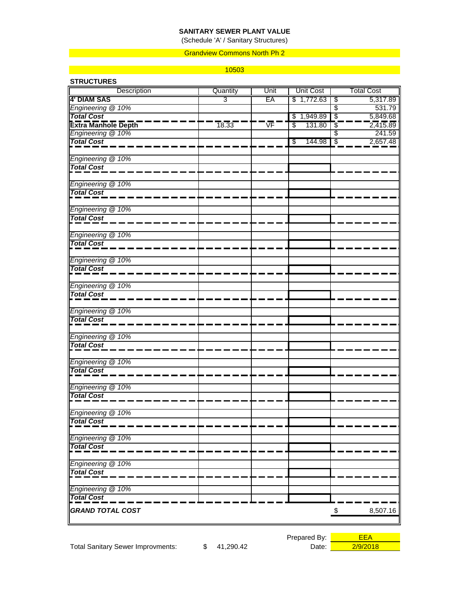## **SANITARY SEWER PLANT VALUE**

(Schedule 'A' / Sanitary Structures)

#### Grandview Commons North Ph 2

#### 10503

| <b>STRUCTURES</b>          |          |      |              |                                      |  |
|----------------------------|----------|------|--------------|--------------------------------------|--|
| Description                | Quantity | Unit | Unit Cost    | <b>Total Cost</b>                    |  |
| <b>4' DIAM SAS</b>         | 3        | EA   | \$1,772.63   | \$<br>5,317.89                       |  |
| Engineering @ 10%          |          |      |              | $\overline{\$}$<br>531.79            |  |
| <b>Total Cost</b>          |          |      | \$1,949.89   | $\overline{\mathcal{E}}$<br>5,849.68 |  |
| <b>Extra Manhole Depth</b> | 18.33    | VF   | \$<br>131.80 | $\mathbf{r}$<br>2,415.89             |  |
| Engineering @ 10%          |          |      |              | \$<br>241.59                         |  |
| <b>Total Cost</b>          |          |      | \$<br>144.98 | $\overline{\mathcal{S}}$<br>2,657.48 |  |
| Engineering @ 10%          |          |      |              |                                      |  |
| <b>Total Cost</b>          |          |      |              |                                      |  |
| Engineering @ 10%          |          |      |              |                                      |  |
| <b>Total Cost</b>          |          |      |              |                                      |  |
| Engineering @ 10%          |          |      |              |                                      |  |
| <b>Total Cost</b>          |          |      |              |                                      |  |
| Engineering @ 10%          |          |      |              |                                      |  |
| <b>Total Cost</b>          |          |      |              |                                      |  |
| Engineering @ 10%          |          |      |              |                                      |  |
| <b>Total Cost</b>          |          |      |              |                                      |  |
| Engineering @ 10%          |          |      |              |                                      |  |
| <b>Total Cost</b>          |          |      |              |                                      |  |
| Engineering @ 10%          |          |      |              |                                      |  |
| <b>Total Cost</b>          |          |      |              |                                      |  |
| Engineering @ 10%          |          |      |              |                                      |  |
| <b>Total Cost</b>          |          |      |              |                                      |  |
| Engineering @ 10%          |          |      |              |                                      |  |
| <b>Total Cost</b>          |          |      |              |                                      |  |
| Engineering @ 10%          |          |      |              |                                      |  |
| <b>Total Cost</b>          |          |      |              |                                      |  |
| Engineering @ 10%          |          |      |              |                                      |  |
| <b>Total Cost</b>          |          |      |              |                                      |  |
| Engineering @ 10%          |          |      |              |                                      |  |
| <b>Total Cost</b>          |          |      |              |                                      |  |
| Engineering @ 10%          |          |      |              |                                      |  |
| <b>Total Cost</b>          |          |      |              |                                      |  |
| Engineering @ 10%          |          |      |              |                                      |  |
| <b>Total Cost</b>          |          |      |              |                                      |  |
| <b>GRAND TOTAL COST</b>    |          |      |              | \$<br>8,507.16                       |  |